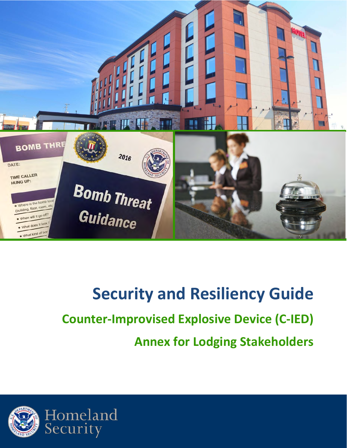

# **Security and Resiliency Guide Counter-Improvised Explosive Device (C-IED) Annex for Lodging Stakeholders**

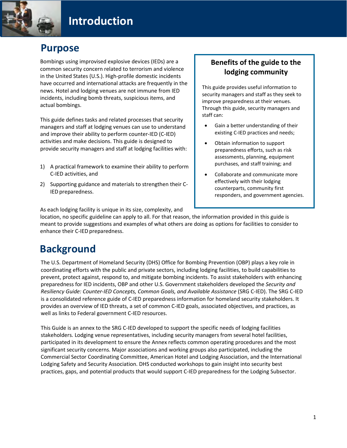### **Purpose**

Bombings using improvised explosive devices (IEDs) are a common security concern related to terrorism and violence in the United States (U.S.). High-profile domestic incidents have occurred and international attacks are frequently in the news. Hotel and lodging venues are not immune from IED incidents, including bomb threats, suspicious items, and actual bombings.

This guide defines tasks and related processes that security managers and staff at lodging venues can use to understand and improve their ability to perform counter-IED (C-IED) activities and make decisions. This guide is designed to provide security managers and staff at lodging facilities with:

- 1) A practical framework to examine their ability to perform C-IED activities, and
- 2) Supporting guidance and materials to strengthen their C-IED preparedness.

#### **Benefits of the guide to the lodging community**

This guide provides useful information to security managers and staff as they seek to improve preparedness at their venues. Through this guide, security managers and staff can:

- Gain a better understanding of their existing C-IED practices and needs;
- Obtain information to support preparedness efforts, such as risk assessments, planning, equipment purchases, and staff training; and
- Collaborate and communicate more effectively with their lodging counterparts, community first responders, and government agencies.

As each lodging facility is unique in its size, complexity, and

location, no specific guideline can apply to all. For that reason, the information provided in this guide is meant to provide suggestions and examples of what others are doing as options for facilities to consider to enhance their C-IED preparedness.

### **Background**

The U.S. Department of Homeland Security (DHS) Office for Bombing Prevention (OBP) plays a key role in coordinating efforts with the public and private sectors, including lodging facilities, to build capabilities to prevent, protect against, respond to, and mitigate bombing incidents. To assist stakeholders with enhancing preparedness for IED incidents, OBP and other U.S. Government stakeholders developed the *Security and Resiliency Guide: Counter-IED Concepts, Common Goals, and Available Assistance* (SRG C-IED). The SRG C-IED is a consolidated reference guide of C-IED preparedness information for homeland security stakeholders. It provides an overview of IED threats, a set of common C-IED goals, associated objectives, and practices, as well as links to Federal government C-IED resources.

This Guide is an annex to the SRG C-IED developed to support the specific needs of lodging facilities stakeholders. Lodging venue representatives, including security managers from several hotel facilities, participated in its development to ensure the Annex reflects common operating procedures and the most significant security concerns. Major associations and working groups also participated, including the Commercial Sector Coordinating Committee, American Hotel and Lodging Association, and the International Lodging Safety and Security Association. DHS conducted workshops to gain insight into security best practices, gaps, and potential products that would support C-IED preparedness for the Lodging Subsector.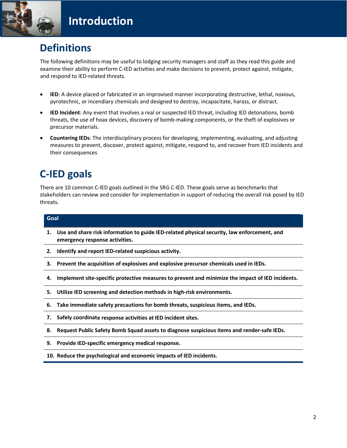

### **Definitions**

The following definitions may be useful to lodging security managers and staff as they read this guide and examine their ability to perform C-IED activities and make decisions to prevent, protect against, mitigate, and respond to IED-related threats.

- **IED**: A device placed or fabricated in an improvised manner incorporating destructive, lethal, noxious, pyrotechnic, or incendiary chemicals and designed to destroy, incapacitate, harass, or distract.
- **IED Incident**: Any event that involves a real or suspected IED threat, including IED detonations, bomb threats, the use of hoax devices, discovery of bomb-making components, or the theft of explosives or precursor materials.
- **Countering IEDs**: The interdisciplinary process for developing, implementing, evaluating, and adjusting measures to prevent, discover, protect against, mitigate, respond to, and recover from IED incidents and their consequences

### **C-IED goals**

There are 10 common C-IED goals outlined in the SRG C-IED. These goals serve as benchmarks that stakeholders can review and consider for implementation in support of reducing the overall risk posed by IED threats.

| Goal |                                                                                                                                  |
|------|----------------------------------------------------------------------------------------------------------------------------------|
|      | 1. Use and share risk information to guide IED-related physical security, law enforcement, and<br>emergency response activities. |
|      | 2. Identify and report IED-related suspicious activity.                                                                          |
|      | 3. Prevent the acquisition of explosives and explosive precursor chemicals used in IEDs.                                         |
| 4.   | Implement site-specific protective measures to prevent and minimize the impact of IED incidents.                                 |
| 5.   | Utilize IED screening and detection methods in high-risk environments.                                                           |
| 6.   | Take immediate safety precautions for bomb threats, suspicious items, and IEDs.                                                  |
|      | 7. Safely coordinate response activities at IED incident sites.                                                                  |
| 8.   | Request Public Safety Bomb Squad assets to diagnose suspicious items and render-safe IEDs.                                       |
|      | 9. Provide IED-specific emergency medical response.                                                                              |
|      | 10. Reduce the psychological and economic impacts of IED incidents.                                                              |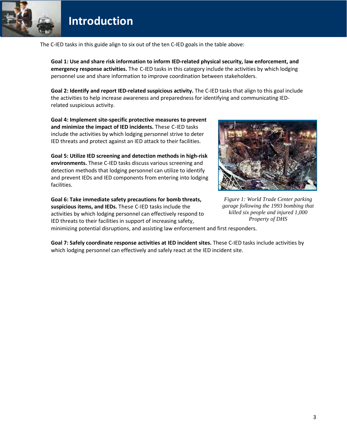### **Introduction**

The C-IED tasks in this guide align to six out of the ten C-IED goals in the table above:

**Goal 1: Use and share risk information to inform IED-related physical security, law enforcement, and emergency response activities.** The C-IED tasks in this category include the activities by which lodging personnel use and share information to improve coordination between stakeholders.

**Goal 2: Identify and report IED-related suspicious activity.** The C-IED tasks that align to this goal include the activities to help increase awareness and preparedness for identifying and communicating IEDrelated suspicious activity.

**Goal 4: Implement site-specific protective measures to prevent and minimize the impact of IED incidents.** These C-IED tasks include the activities by which lodging personnel strive to deter IED threats and protect against an IED attack to their facilities.

**Goal 5: Utilize IED screening and detection methods in high-risk environments.** These C-IED tasks discuss various screening and detection methods that lodging personnel can utilize to identify and prevent IEDs and IED components from entering into lodging facilities.

**Goal 6: Take immediate safety precautions for bomb threats, suspicious items, and IEDs.** These C-IED tasks include the activities by which lodging personnel can effectively respond to IED threats to their facilities in support of increasing safety,



*Figure 1: World Trade Center parking garage following the 1993 bombing that killed six people and injured 1,000 Property of DHS*

minimizing potential disruptions, and assisting law enforcement and first responders.

**Goal 7: Safely coordinate response activities at IED incident sites.** These C-IED tasks include activities by which lodging personnel can effectively and safely react at the IED incident site.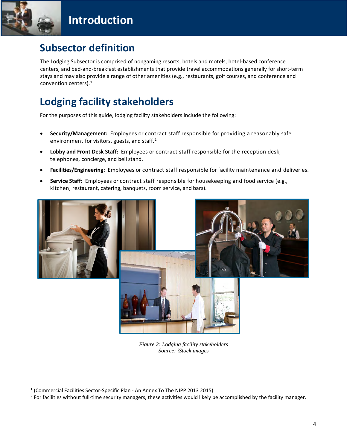

### **Subsector definition**

The Lodging Subsector is comprised of nongaming resorts, hotels and motels, hotel-based conference centers, and bed-and-breakfast establishments that provide travel accommodations generally for short-term stays and may also provide a range of other amenities (e.g., restaurants, golf courses, and conference and convention centers).[1](#page-4-0)

### **Lodging facility stakeholders**

For the purposes of this guide, lodging facility stakeholders include the following:

- **Security/Management:** Employees or contract staff responsible for providing a reasonably safe environment for visitors, guests, and staff.<sup>[2](#page-4-1)</sup>
- **Lobby and Front Desk Staff:** Employees or contract staff responsible for the reception desk, telephones, concierge, and bell stand.
- **Facilities/Engineering:** Employees or contract staff responsible for facility maintenance and deliveries.
- **Service Staff:** Employees or contract staff responsible for housekeeping and food service (e.g., kitchen, restaurant, catering, banquets, room service, and bars).



*Figure 2: Lodging facility stakeholders Source: iStock images*

<span id="page-4-0"></span> $1$  (Commercial Facilities Sector-Specific Plan - An Annex To The NIPP 2013 2015)

<span id="page-4-1"></span> $2$  For facilities without full-time security managers, these activities would likely be accomplished by the facility manager.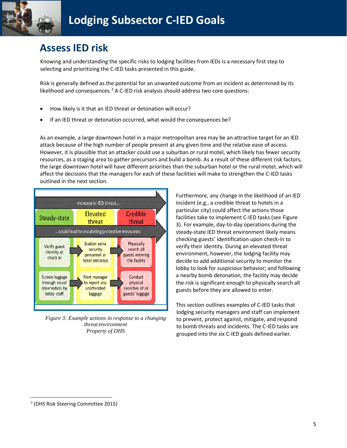

### **Assess IED risk**

Knowing and understanding the specific risks to lodging facilities from IEDs is a necessary first step to selecting and prioritizing the C-IED tasks presented in this guide.

Risk is generally defined as the potential for an unwanted outcome from an incident as determined by its likelihood and consequences. $3$  A C-IED risk analysis should address two core questions:

- How likely is it that an IED threat or detonation will occur?
- If an IED threat or detonation occurred, what would the consequences be?

As an example, a large downtown hotel in a major metropolitan area may be an attractive target for an IED attack because of the high number of people present at any given time and the relative ease of access. However, it is plausible that an attacker could use a suburban or rural motel, which likely has fewer security resources, as a staging area to gather precursors and build a bomb. As a result of these different risk factors, the large downtown hotel will have different priorities than the suburban hotel or the rural motel, which will affect the decisions that the managers for each of these facilities will make to strengthen the C-IED tasks outlined in the next section.



*Figure 3: Example actions in response to a changing threat environment Property of DHS*

Furthermore, any change in the likelihood of an IED incident (e.g., a credible threat to hotels in a particular city) could affect the actions those facilities take to implement C-IED tasks (see Figure 3). For example, day-to-day operations during the steady-state IED threat environment likely means checking guests' identification upon check-in to verify their identity. During an elevated threat environment, however, the lodging facility may decide to add additional security to monitor the lobby to look for suspicious behavior; and following a nearby bomb detonation, the facility may decide the risk is significant enough to physically search all guests before they are allowed to enter.

This section outlines examples of C-IED tasks that lodging security managers and staff can implement to prevent, protect against, mitigate, and respond to bomb threats and incidents. The C-IED tasks are grouped into the six C-IED goals defined earlier.

<span id="page-5-0"></span><sup>3</sup> (DHS Risk Steering Committee 2015)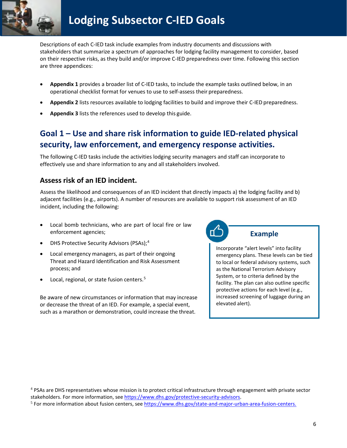

Descriptions of each C-IED task include examples from industry documents and discussions with stakeholders that summarize a spectrum of approaches for lodging facility management to consider, based on their respective risks, as they build and/or improve C-IED preparedness over time. Following this section are three appendices:

- **Appendix 1** provides a broader list of C-IED tasks, to include the example tasks outlined below, in an operational checklist format for venues to use to self-assess their preparedness.
- **Appendix 2** lists resources available to lodging facilities to build and improve their C-IED preparedness.
- **Appendix 3** lists the references used to develop this guide.

### **Goal 1 – Use and share risk information to guide IED-related physical security, law enforcement, and emergency response activities.**

The following C-IED tasks include the activities lodging security managers and staff can incorporate to effectively use and share information to any and all stakeholders involved.

#### **Assess risk of an IED incident.**

Assess the likelihood and consequences of an IED incident that directly impacts a) the lodging facility and b) adjacent facilities (e.g., airports). A number of resources are available to support risk assessment of an IED incident, including the following:

- Local bomb technicians, who are part of local fire or law enforcement agencies;
- DHS Protective Security Advisors (PSAs);[4](#page-6-0)
- Local emergency managers, as part of their ongoing Threat and Hazard Identification and Risk Assessment process; and
- Local, regional, or state fusion centers.<sup>[5](#page-6-1)</sup>

Be aware of new circumstances or information that may increase or decrease the threat of an IED. For example, a special event, such as a marathon or demonstration, could increase the threat.



Incorporate "alert levels" into facility

emergency plans. These levels can be tied to local or federal advisory systems, such as the National Terrorism Advisory System, or to criteria defined by the facility. The plan can also outline specific protective actions for each level (e.g., increased screening of luggage during an elevated alert).

<span id="page-6-0"></span><sup>4</sup> PSAs are DHS representatives whose mission is to protect critical infrastructure through engagement with private sector stakeholders. For more information, se[e https://www.dhs.gov/protective-security-advisors.](https://www.dhs.gov/protective-security-advisors)

<span id="page-6-1"></span><sup>5</sup> For more information about fusion centers, se[e https://www.dhs.gov/state-and-major-urban-area-fusion-centers.](https://www.dhs.gov/state-and-major-urban-area-fusion-centers)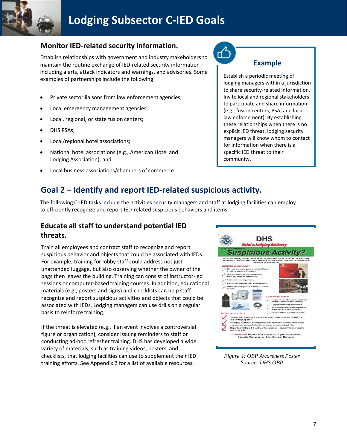

### **Lodging Subsector C-IED Goals**

#### **Monitor IED-related security information.**

Establish relationships with government and industry stakeholders to maintain the routine exchange of IED-related security information including alerts, attack indicators and warnings, and advisories. Some examples of partnerships include the following:

- Private sector liaisons from law enforcement agencies;
- Local emergency management agencies;
- Local, regional, or state fusion centers;
- DHS PSAs;
- Local/regional hotel associations;
- National hotel associations (e.g., American Hotel and Lodging Association); and
- Local business associations/chambers of commerce.

### **Example**

Establish a periodic meeting of lodging managers within a jurisdiction to share security-related information. Invite local and regional stakeholders to participate and share information (e.g., fusion centers, PSA, and local law enforcement). By establishing these relationships when there is no explicit IED threat, lodging security managers will know whom to contact for information when there is a specific IED threat to their community.

#### **Goal 2 – Identify and report IED-related suspicious activity.**

The following C-IED tasks include the activities security managers and staff at lodging facilities can employ to efficiently recognize and report IED-related suspicious behaviors and items.

#### **Educate all staff to understand potential IED threats.**

Train all employees and contract staff to recognize and report suspicious behavior and objects that could be associated with IEDs. For example, training for lobby staff could address not just unattended luggage, but also observing whether the owner of the bags then leaves the building. Training can consist of instructor-led sessions or computer-based training courses. In addition, educational materials (e.g., posters and signs) and checklists can help staff recognize and report suspicious activities and objects that could be associated with IEDs. Lodging managers can use drills on a regular basis to reinforce training.

If the threat is elevated (e.g., if an event involves a controversial figure or organization), consider issuing reminders to staff or conducting ad-hoc refresher training. DHS has developed a wide variety of materials, such as training videos, posters, and checklists, that lodging facilities can use to supplement their IED training efforts. See Appendix 2 for a list of available resources.



*Figure 4: OBP Awareness Poster Source: DHS OBP*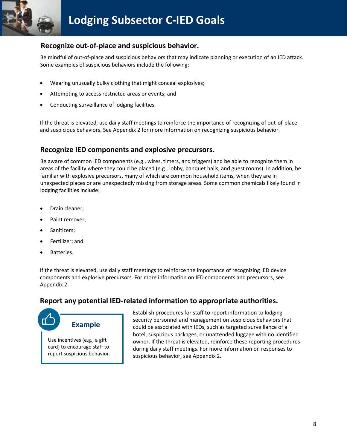

#### **Recognize out-of-place and suspicious behavior.**

Be mindful of out-of-place and suspicious behaviors that may indicate planning or execution of an IED attack. Some examples of suspicious behaviors include the following:

- Wearing unusually bulky clothing that might conceal explosives;
- Attempting to access restricted areas or events; and
- Conducting surveillance of lodging facilities.

If the threat is elevated, use daily staff meetings to reinforce the importance of recognizing of out-of-place and suspicious behaviors. See Appendix 2 for more information on recognizing suspicious behavior.

#### **Recognize IED components and explosive precursors.**

Be aware of common IED components (e.g., wires, timers, and triggers) and be able to recognize them in areas of the facility where they could be placed (e.g., lobby, banquet halls, and guest rooms). In addition, be familiar with explosive precursors, many of which are common household items, when they are in unexpected places or are unexpectedly missing from storage areas. Some common chemicals likely found in lodging facilities include:

- Drain cleaner;
- Paint remover;
- Sanitizers;
- Fertilizer; and
- Batteries.

If the threat is elevated, use daily staff meetings to reinforce the importance of recognizing IED device components and explosive precursors. For more information on IED components and precursors, see Appendix 2.

#### **Report any potential IED-related information to appropriate authorities.**



card) to encourage staff to report suspicious behavior. Establish procedures for staff to report information to lodging security personnel and management on suspicious behaviors that could be associated with IEDs, such as targeted surveillance of a hotel, suspicious packages, or unattended luggage with no identified owner. If the threat is elevated, reinforce these reporting procedures during daily staff meetings. For more information on responses to suspicious behavior, see Appendix 2.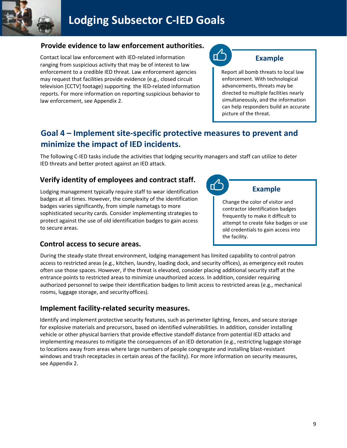

### **Lodging Subsector C-IED Goals**

#### **Provide evidence to law enforcement authorities.**

Contact local law enforcement with IED-related information ranging from suspicious activity that may be of interest to law enforcement to a credible IED threat. Law enforcement agencies may request that facilities provide evidence (e.g., closed circuit television [CCTV] footage) supporting the IED-related information reports. For more information on reporting suspicious behavior to law enforcement, see Appendix 2.



#### **Example**

Report all bomb threats to local law enforcement. With technological advancements, threats may be directed to multiple facilities nearly simultaneously, and the information can help responders build an accurate picture of the threat.

### **Goal 4 – Implement site-specific protective measures to prevent and minimize the impact of IED incidents.**

The following C-IED tasks include the activities that lodging security managers and staff can utilize to deter IED threats and better protect against an IED attack.

#### **Verify identity of employees and contract staff.**

Lodging management typically require staff to wear identification badges at all times. However, the complexity of the identification badges varies significantly, from simple nametags to more sophisticated security cards. Consider implementing strategies to protect against the use of old identification badges to gain access to secure areas.



contractor identification badges frequently to make it difficult to attempt to create fake badges or use old credentials to gain access into the facility.

#### **Control access to secure areas.**

During the steady-state threat environment, lodging management has limited capability to control patron access to restricted areas (e.g., kitchen, laundry, loading dock, and security offices), as emergency exit routes often use those spaces. However, if the threat is elevated, consider placing additional security staff at the entrance points to restricted areas to minimize unauthorized access. In addition, consider requiring authorized personnel to swipe their identification badges to limit access to restricted areas (e.g., mechanical rooms, luggage storage, and securityoffices).

#### **Implement facility-related security measures.**

Identify and implement protective security features, such as perimeter lighting, fences, and secure storage for explosive materials and precursors, based on identified vulnerabilities. In addition, consider installing vehicle or other physical barriers that provide effective standoff distance from potential IED attacks and implementing measures to mitigate the consequences of an IED detonation (e.g., restricting luggage storage to locations away from areas where large numbers of people congregate and installing blast-resistant windows and trash receptacles in certain areas of the facility). For more information on security measures, see Appendix 2.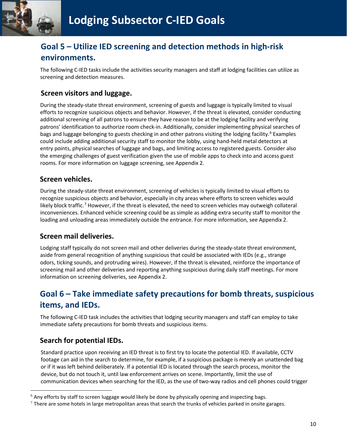

### **Goal 5 – Utilize IED screening and detection methods in high-risk environments.**

The following C-IED tasks include the activities security managers and staff at lodging facilities can utilize as screening and detection measures.

#### **Screen visitors and luggage.**

During the steady-state threat environment, screening of guests and luggage is typically limited to visual efforts to recognize suspicious objects and behavior. However, if the threat is elevated, consider conducting additional screening of all patrons to ensure they have reason to be at the lodging facility and verifying patrons' identification to authorize room check-in. Additionally, consider implementing physical searches of bags and luggage belonging to guests checking in and other patrons visiting the lodging facility.<sup>[6](#page-10-0)</sup> Examples could include adding additional security staff to monitor the lobby, using hand-held metal detectors at entry points, physical searches of luggage and bags, and limiting access to registered guests. Consider also the emerging challenges of guest verification given the use of mobile apps to check into and access guest rooms. For more information on luggage screening, see Appendix 2.

#### **Screen vehicles.**

During the steady-state threat environment, screening of vehicles is typically limited to visual efforts to recognize suspicious objects and behavior, especially in city areas where efforts to screen vehicles would likely block traffic.<sup>[7](#page-10-1)</sup> However, if the threat is elevated, the need to screen vehicles may outweigh collateral inconveniences. Enhanced vehicle screening could be as simple as adding extra security staff to monitor the loading and unloading areas immediately outside the entrance. For more information, see Appendix 2.

#### **Screen mail deliveries.**

Lodging staff typically do not screen mail and other deliveries during the steady-state threat environment, aside from general recognition of anything suspicious that could be associated with IEDs (e.g., strange odors, ticking sounds, and protruding wires). However, if the threat is elevated, reinforce the importance of screening mail and other deliveries and reporting anything suspicious during daily staff meetings. For more information on screening deliveries, see Appendix 2.

### **Goal 6 – Take immediate safety precautions for bomb threats, suspicious items, and IEDs.**

The following C-IED task includes the activities that lodging security managers and staff can employ to take immediate safety precautions for bomb threats and suspicious items.

#### **Search for potential IEDs.**

Standard practice upon receiving an IED threat is to first try to locate the potential IED. If available, CCTV footage can aid in the search to determine, for example, if a suspicious package is merely an unattended bag or if it was left behind deliberately. If a potential IED is located through the search process, monitor the device, but do not touch it, until law enforcement arrives on scene. Importantly, limit the use of communication devices when searching for the IED, as the use of two-way radios and cell phones could trigger

<span id="page-10-0"></span> $6$  Any efforts by staff to screen luggage would likely be done by physically opening and inspecting bags.

<span id="page-10-1"></span> $7$  There are some hotels in large metropolitan areas that search the trunks of vehicles parked in onsite garages.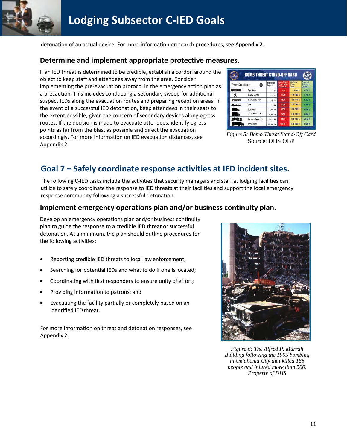

detonation of an actual device. For more information on search procedures, see Appendix 2.

#### **Determine and implement appropriate protective measures.**

If an IED threat is determined to be credible, establish a cordon around the object to keep staff and attendees away from the area. Consider implementing the pre-evacuation protocol in the emergency action plan as a precaution. This includes conducting a secondary sweep for additional suspect IEDs along the evacuation routes and preparing reception areas. In the event of a successful IED detonation, keep attendees in their seats to the extent possible, given the concern of secondary devices along egress routes. If the decision is made to evacuate attendees, identify egress points as far from the blast as possible and direct the evacuation accordingly. For more information on IED evacuation distances, see Appendix 2.

| <b>Threat Description</b> |                       | Explosives<br>Capacity | Mandatory<br>Evacuation<br><b>Distance</b> | Shelter-in-<br>Place<br>Zone | Preferred<br>Evacuation<br>Distance |
|---------------------------|-----------------------|------------------------|--------------------------------------------|------------------------------|-------------------------------------|
|                           | Pipe Bomb             | 5 lbs                  | 70 ft                                      | 71-1199 ft                   | $+1200$ ft                          |
| ≪                         | Suicide Bomber        | 20 lbs                 | 110 ft                                     | 111-1699 ft                  | +1709.71                            |
| $\sim$                    | Briefcase/Suitcase    | 50 86                  | 150 ft                                     | 151-1849 ft                  | $+1850f1$                           |
| حفظها                     | Car                   | 500 lbs                | 320 ft                                     | 321-1899 ft                  | +1900 ft                            |
| $\sim$ 2008.              | <b>SUV/Van</b>        | 1,000 lbs              | 400 ft                                     | 401-2399 ft                  | +2400 ft                            |
|                           | Small Delivery Truck  | 4,000 lbs              | 640 ft                                     | 641-3799 ft                  | +1800 ft                            |
|                           | Container/Water Truck | 10,000 lbs             | 860 ft                                     | 861-5099 ft                  | +5100ft                             |
|                           | Semi-Trailer          | 60,000 lbs             | 1570 ft                                    | 1571-9299 ft                 | +5300 ft                            |

*Figure 5: Bomb Threat Stand-Off Card* Source: DHS OBP

### **Goal 7 – Safely coordinate response activities at IED incident sites.**

The following C-IED tasks include the activities that security managers and staff at lodging facilities can utilize to safely coordinate the response to IED threats at their facilities and support the local emergency response community following a successful detonation.

#### **Implement emergency operations plan and/or business continuity plan.**

Develop an emergency operations plan and/or business continuity plan to guide the response to a credible IED threat or successful detonation. At a minimum, the plan should outline procedures for the following activities:

- Reporting credible IED threats to local law enforcement;
- Searching for potential IEDs and what to do if one is located;
- Coordinating with first responders to ensure unity of effort;
- Providing information to patrons; and
- Evacuating the facility partially or completely based on an identified IEDthreat.

For more information on threat and detonation responses, see Appendix 2.



*Figure 6: The Alfred P. Murrah Building following the 1995 bombing in Oklahoma City that killed 168 people and injured more than 500. Property of DHS*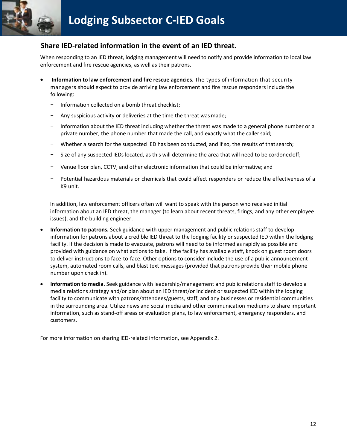

#### **Share IED-related information in the event of an IED threat.**

When responding to an IED threat, lodging management will need to notify and provide information to local law enforcement and fire rescue agencies, as well as their patrons.

- **Information to law enforcement and fire rescue agencies.** The types of information that security managers should expect to provide arriving law enforcement and fire rescue responders include the following:
	- − Information collected on a bomb threat checklist;
	- Any suspicious activity or deliveries at the time the threat was made;
	- Information about the IED threat including whether the threat was made to a general phone number or a private number, the phone number that made the call, and exactly what the caller said;
	- Whether a search for the suspected IED has been conducted, and if so, the results of that search;
	- − Size of any suspected IEDs located, as this will determine the area that will need to be cordonedoff;
	- − Venue floor plan, CCTV, and other electronic information that could be informative; and
	- − Potential hazardous materials or chemicals that could affect responders or reduce the effectiveness of a K9 unit.

In addition, law enforcement officers often will want to speak with the person who received initial information about an IED threat, the manager (to learn about recent threats, firings, and any other employee issues), and the building engineer.

- **Information to patrons.** Seek guidance with upper management and public relations staff to develop information for patrons about a credible IED threat to the lodging facility or suspected IED within the lodging facility. If the decision is made to evacuate, patrons will need to be informed as rapidly as possible and provided with guidance on what actions to take. If the facility has available staff, knock on guest room doors to deliver instructions to face-to-face. Other options to consider include the use of a public announcement system, automated room calls, and blast text messages (provided that patrons provide their mobile phone number upon check in).
- **Information to media.** Seek guidance with leadership/management and public relations staff to develop a media relations strategy and/or plan about an IED threat/or incident or suspected IED within the lodging facility to communicate with patrons/attendees/guests, staff, and any businesses or residential communities in the surrounding area. Utilize news and social media and other communication mediums to share important information, such as stand-off areas or evaluation plans, to law enforcement, emergency responders, and customers.

For more information on sharing IED-related information, see Appendix 2.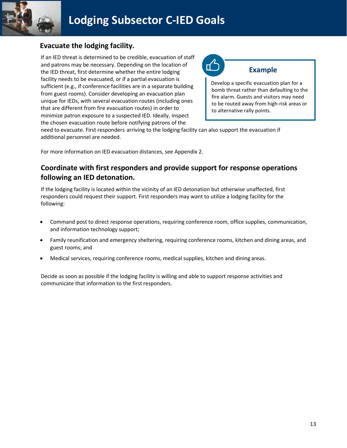

#### **Evacuate the lodging facility.**

If an IED threat is determined to be credible, evacuation of staff and patrons may be necessary. Depending on the location of the IED threat, first determine whether the entire lodging facility needs to be evacuated, or if a partial evacuation is sufficient (e.g., if conference facilities are in a separate building from guest rooms). Consider developing an evacuation plan unique for IEDs, with several evacuation routes (including ones that are different from fire evacuation routes) in order to minimize patron exposure to a suspected IED. Ideally, inspect the chosen evacuation route before notifying patrons of the



#### **Example**

Develop a specific evacuation plan for a bomb threat rather than defaulting to the fire alarm. Guests and visitors may need to be routed away from high-risk areas or to alternative rally points.

need to evacuate. First responders arriving to the lodging facility can also support the evacuation if additional personnel are needed.

For more information on IED evacuation distances, see Appendix 2.

#### **Coordinate with first responders and provide support for response operations following an IED detonation.**

If the lodging facility is located within the vicinity of an IED detonation but otherwise unaffected, first responders could request their support. First responders may want to utilize a lodging facility for the following:

- Command post to direct response operations, requiring conference room, office supplies, communication, and information technology support;
- Family reunification and emergency sheltering, requiring conference rooms, kitchen and dining areas, and guest rooms; and
- Medical services, requiring conference rooms, medical supplies, kitchen and dining areas.

Decide as soon as possible if the lodging facility is willing and able to support response activities and communicate that information to the first responders.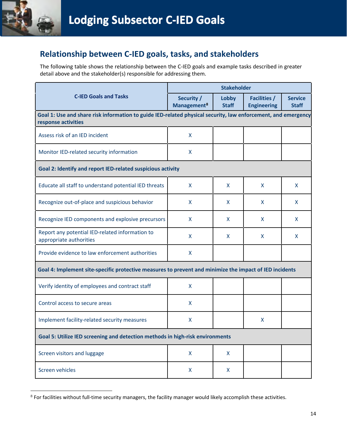

### Relationship between C-IED goals, tasks, and stakeholders

The following table shows the relationship between the C-IED goals and example tasks described in greater detail above and the stakeholder(s) responsible for addressing them.

|                                                                                                                                      | <b>Stakeholder</b>                    |                       |                                           |                                |
|--------------------------------------------------------------------------------------------------------------------------------------|---------------------------------------|-----------------------|-------------------------------------------|--------------------------------|
| <b>C-IED Goals and Tasks</b>                                                                                                         | Security /<br>Management <sup>8</sup> | Lobby<br><b>Staff</b> | <b>Facilities /</b><br><b>Engineering</b> | <b>Service</b><br><b>Staff</b> |
| Goal 1: Use and share risk information to guide IED-related physical security, law enforcement, and emergency<br>response activities |                                       |                       |                                           |                                |
| Assess risk of an IED incident                                                                                                       | X                                     |                       |                                           |                                |
| Monitor IED-related security information                                                                                             | X                                     |                       |                                           |                                |
| Goal 2: Identify and report IED-related suspicious activity                                                                          |                                       |                       |                                           |                                |
| Educate all staff to understand potential IED threats                                                                                | X                                     | X                     | X                                         | X                              |
| Recognize out-of-place and suspicious behavior                                                                                       | X                                     | X                     | X                                         | X                              |
| Recognize IED components and explosive precursors                                                                                    | X                                     | X                     | X                                         | X                              |
| Report any potential IED-related information to<br>appropriate authorities                                                           | X                                     | X                     | X                                         | X                              |
| Provide evidence to law enforcement authorities                                                                                      | X                                     |                       |                                           |                                |
| Goal 4: Implement site-specific protective measures to prevent and minimize the impact of IED incidents                              |                                       |                       |                                           |                                |
| Verify identity of employees and contract staff                                                                                      | X                                     |                       |                                           |                                |
| Control access to secure areas                                                                                                       | X                                     |                       |                                           |                                |
| Implement facility-related security measures                                                                                         | X                                     |                       | X                                         |                                |
| Goal 5: Utilize IED screening and detection methods in high-risk environments                                                        |                                       |                       |                                           |                                |
| Screen visitors and luggage                                                                                                          | X                                     | X                     |                                           |                                |
| Screen vehicles                                                                                                                      | X                                     | X                     |                                           |                                |

<span id="page-14-0"></span> $8$  For facilities without full-time security managers, the facility manager would likely accomplish these activities.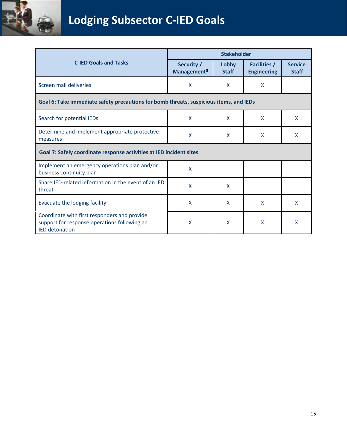

|                                                                                                                       | <b>Stakeholder</b>                    |                       |                                           |                                |
|-----------------------------------------------------------------------------------------------------------------------|---------------------------------------|-----------------------|-------------------------------------------|--------------------------------|
| <b>C-IED Goals and Tasks</b>                                                                                          | Security /<br>Management <sup>8</sup> | Lobby<br><b>Staff</b> | <b>Facilities /</b><br><b>Engineering</b> | <b>Service</b><br><b>Staff</b> |
| Screen mail deliveries                                                                                                | X                                     | X                     | X                                         |                                |
| Goal 6: Take immediate safety precautions for bomb threats, suspicious items, and IEDs                                |                                       |                       |                                           |                                |
| Search for potential IEDs                                                                                             | X                                     | X                     | X                                         | X                              |
| Determine and implement appropriate protective<br>measures                                                            | X                                     | X                     | X                                         | X                              |
| Goal 7: Safely coordinate response activities at IED incident sites                                                   |                                       |                       |                                           |                                |
| Implement an emergency operations plan and/or<br>business continuity plan                                             | X                                     |                       |                                           |                                |
| Share IED-related information in the event of an IED<br>threat                                                        | X                                     | X                     |                                           |                                |
| Evacuate the lodging facility                                                                                         | X                                     | X                     | $\mathsf{x}$                              | $\mathsf{x}$                   |
| Coordinate with first responders and provide<br>support for response operations following an<br><b>IED</b> detonation | $\boldsymbol{\mathsf{X}}$             | X                     | $\boldsymbol{\mathsf{X}}$                 | X                              |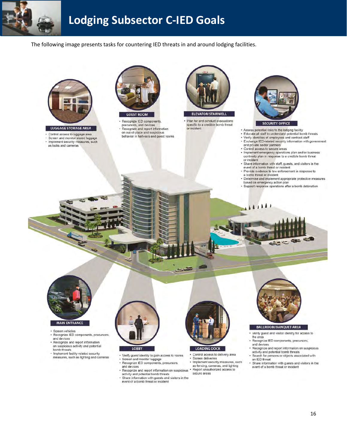

### **Lodging Subsector C-IED Goals**

The following image presents tasks for countering IED threats in and around lodging facilities.



LUGGAGE STORAGE AREA

- Control access to luggage area<br>• Screen and monitor stored luggage
- · Implement security measures, such as locks and cameras



Recognize IED components precursors, and devices Recognize and report information on out-of-place and suspicious

behavior in hallways and guest rooms



· Plan for and conduct evacuations specific to a credible bomb threat

or incident



- . Assess potential risks to the lodging facility
- Assess potential lists to the longing radiity<br>- Educate all staff to understand potential bomb threats<br>- Verify identities of employees and contract staff
- · Exchange IED-related security information with government and private sector partners
- · Control access to secure areas

**MARTIN** 

- · Implement emergency operations plan and/or business continuity plan in response to a credible bomb threat or incident
- Share information with staff, guests, and visitors in the event of a bomb threat or incident
- · Provide evidence to law enforcement in response to a bomb threat or incident
- · Determine and implement appropriate protective measures based on emergency action plan

4  $\frac{1}{2}$ 

· Support response operations after a bomb detonation



#### · Screen vehicles

- · Recognize IED components, precursors, and devices
- · Recognize and report information on suspicious activity and potential bomb threats
- Implement facility-related security measures, such as lighting and cameras
- 



- · Verify guest identity to gain access to rooms Screen and monitor luggage
- Recognize IED components, precursors and devices
- Recognize and report information on suspicious
- activity and potential bomb threats Share information with guests and visitors in the event of a bomb threat or incident
	-



 $-50$ 

Control access to delivery area

- Screen deliveries
- Implement security measures, such as fencing, cameras, and lighting<br>Report unauthorized access to secure areas



#### **BALLROOM/BANQUET AREA**

- Verify guest and visitor identity for access to
- the area
- · Recognize IED components, precursors, and devices ü
- Recognize and report information on suspicious activity and potential bomb threats · Search for persons or objects associated with
- an IED threat Share information with guests and visitors in the
- event of a bomb threat or incident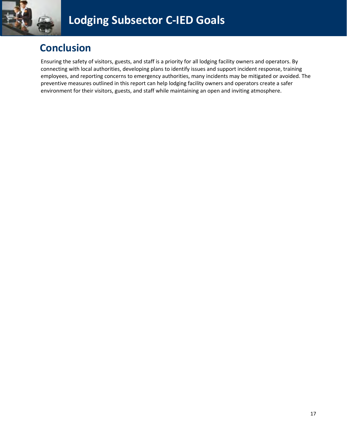

### **Conclusion**

Ensuring the safety of visitors, guests, and staff is a priority for all lodging facility owners and operators. By connecting with local authorities, developing plans to identify issues and support incident response, training employees, and reporting concerns to emergency authorities, many incidents may be mitigated or avoided. The preventive measures outlined in this report can help lodging facility owners and operators create a safer environment for their visitors, guests, and staff while maintaining an open and inviting atmosphere.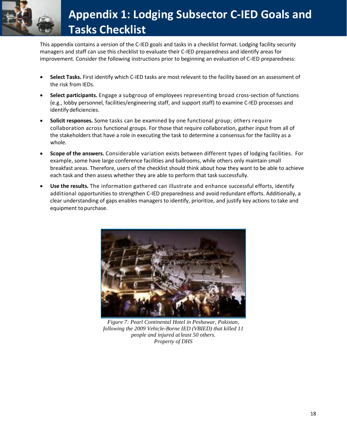

This appendix contains a version of the C-IED goals and tasks in a checklist format. Lodging facility security managers and staff can use this checklist to evaluate their C-IED preparedness and identify areas for improvement. Consider the following instructions prior to beginning an evaluation of C-IED preparedness:

- **Select Tasks.** First identify which C-IED tasks are most relevant to the facility based on an assessment of the risk from IEDs.
- **Select participants.** Engage a subgroup of employees representing broad cross-section of functions (e.g., lobby personnel, facilities/engineering staff, and support staff) to examine C-IED processes and identify deficiencies.
- **Solicit responses.** Some tasks can be examined by one functional group; others require collaboration across functional groups. For those that require collaboration, gather input from all of the stakeholders that have a role in executing the task to determine a consensus for the facility as a whole.
- **Scope of the answers.** Considerable variation exists between different types of lodging facilities. For example, some have large conference facilities and ballrooms, while others only maintain small breakfast areas. Therefore, users of the checklist should think about how they want to be able to achieve each task and then assess whether they are able to perform that task successfully.
- **Use the results.** The information gathered can illustrate and enhance successful efforts, identify additional opportunities to strengthen C-IED preparedness and avoid redundant efforts. Additionally, a clear understanding of gaps enables managers to identify, prioritize, and justify key actions to take and equipment to purchase.



*Figure 7: Pearl Continental Hotel in Peshawar, Pakistan, following the 2009 Vehicle-Borne IED (VBIED) that killed 11 people and injured at least 50 others. Property of DHS*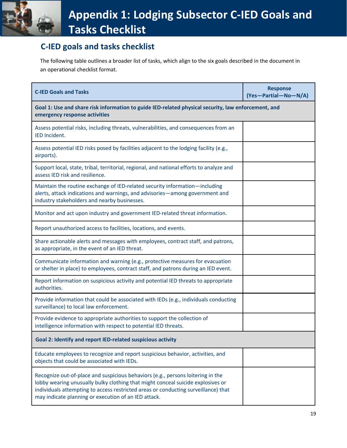### **C-IED goals and tasks checklist**

The following table outlines a broader list of tasks, which align to the six goals described in the document in an operational checklist format.

| <b>C-IED Goals and Tasks</b>                                                                                                                                                                                                                                                                                     | <b>Response</b><br>(Yes-Partial-No-N/A) |  |
|------------------------------------------------------------------------------------------------------------------------------------------------------------------------------------------------------------------------------------------------------------------------------------------------------------------|-----------------------------------------|--|
| Goal 1: Use and share risk information to guide IED-related physical security, law enforcement, and<br>emergency response activities                                                                                                                                                                             |                                         |  |
| Assess potential risks, including threats, vulnerabilities, and consequences from an<br>IED Incident.                                                                                                                                                                                                            |                                         |  |
| Assess potential IED risks posed by facilities adjacent to the lodging facility (e.g.,<br>airports).                                                                                                                                                                                                             |                                         |  |
| Support local, state, tribal, territorial, regional, and national efforts to analyze and<br>assess IED risk and resilience.                                                                                                                                                                                      |                                         |  |
| Maintain the routine exchange of IED-related security information-including<br>alerts, attack indications and warnings, and advisories-among government and<br>industry stakeholders and nearby businesses.                                                                                                      |                                         |  |
| Monitor and act upon industry and government IED-related threat information.                                                                                                                                                                                                                                     |                                         |  |
| Report unauthorized access to facilities, locations, and events.                                                                                                                                                                                                                                                 |                                         |  |
| Share actionable alerts and messages with employees, contract staff, and patrons,<br>as appropriate, in the event of an IED threat.                                                                                                                                                                              |                                         |  |
| Communicate information and warning (e.g., protective measures for evacuation<br>or shelter in place) to employees, contract staff, and patrons during an IED event.                                                                                                                                             |                                         |  |
| Report information on suspicious activity and potential IED threats to appropriate<br>authorities.                                                                                                                                                                                                               |                                         |  |
| Provide information that could be associated with IEDs (e.g., individuals conducting<br>surveillance) to local law enforcement.                                                                                                                                                                                  |                                         |  |
| Provide evidence to appropriate authorities to support the collection of<br>intelligence information with respect to potential IED threats.                                                                                                                                                                      |                                         |  |
| Goal 2: Identify and report IED-related suspicious activity                                                                                                                                                                                                                                                      |                                         |  |
| Educate employees to recognize and report suspicious behavior, activities, and<br>objects that could be associated with IEDs.                                                                                                                                                                                    |                                         |  |
| Recognize out-of-place and suspicious behaviors (e.g., persons loitering in the<br>lobby wearing unusually bulky clothing that might conceal suicide explosives or<br>individuals attempting to access restricted areas or conducting surveillance) that<br>may indicate planning or execution of an IED attack. |                                         |  |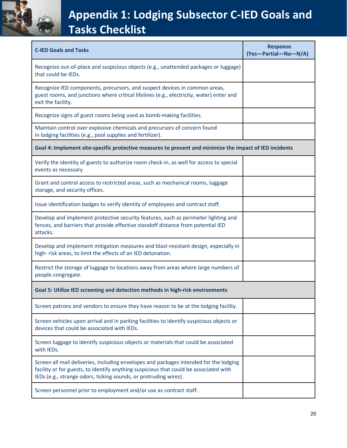

| <b>C-IED Goals and Tasks</b>                                                                                                                                                                                                                       | <b>Response</b><br>(Yes-Partial-No-N/A) |  |
|----------------------------------------------------------------------------------------------------------------------------------------------------------------------------------------------------------------------------------------------------|-----------------------------------------|--|
| Recognize out-of-place and suspicious objects (e.g., unattended packages or luggage)<br>that could be IEDs.                                                                                                                                        |                                         |  |
| Recognize IED components, precursors, and suspect devices in common areas,<br>guest rooms, and junctions where critical lifelines (e.g., electricity, water) enter and<br>exit the facility.                                                       |                                         |  |
| Recognize signs of guest rooms being used as bomb-making facilities.                                                                                                                                                                               |                                         |  |
| Maintain control over explosive chemicals and precursors of concern found<br>in lodging facilities (e.g., pool supplies and fertilizer).                                                                                                           |                                         |  |
| Goal 4: Implement site-specific protective measures to prevent and minimize the impact of IED incidents                                                                                                                                            |                                         |  |
| Verify the identity of guests to authorize room check-in, as well for access to special<br>events as necessary                                                                                                                                     |                                         |  |
| Grant and control access to restricted areas, such as mechanical rooms, luggage<br>storage, and security offices.                                                                                                                                  |                                         |  |
| Issue identification badges to verify identity of employees and contract staff.                                                                                                                                                                    |                                         |  |
| Develop and implement protective security features, such as perimeter lighting and<br>fences, and barriers that provide effective standoff distance from potential IED<br>attacks.                                                                 |                                         |  |
| Develop and implement mitigation measures and blast-resistant design, especially in<br>high-risk areas, to limit the effects of an IED detonation.                                                                                                 |                                         |  |
| Restrict the storage of luggage to locations away from areas where large numbers of<br>people congregate.                                                                                                                                          |                                         |  |
| Goal 5: Utilize IED screening and detection methods in high-risk environments                                                                                                                                                                      |                                         |  |
| Screen patrons and vendors to ensure they have reason to be at the lodging facility.                                                                                                                                                               |                                         |  |
| Screen vehicles upon arrival and in parking facilities to identify suspicious objects or<br>devices that could be associated with IEDs.                                                                                                            |                                         |  |
| Screen luggage to identify suspicious objects or materials that could be associated<br>with IEDs.                                                                                                                                                  |                                         |  |
| Screen all mail deliveries, including envelopes and packages intended for the lodging<br>facility or for guests, to identify anything suspicious that could be associated with<br>IEDs (e.g., strange odors, ticking sounds, or protruding wires). |                                         |  |
| Screen personnel prior to employment and/or use as contract staff.                                                                                                                                                                                 |                                         |  |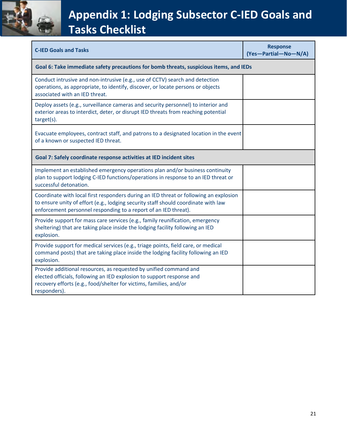

| <b>C-IED Goals and Tasks</b>                                                                                                                                                                                                                   | <b>Response</b><br>(Yes-Partial-No-N/A) |  |  |
|------------------------------------------------------------------------------------------------------------------------------------------------------------------------------------------------------------------------------------------------|-----------------------------------------|--|--|
| Goal 6: Take immediate safety precautions for bomb threats, suspicious items, and IEDs                                                                                                                                                         |                                         |  |  |
| Conduct intrusive and non-intrusive (e.g., use of CCTV) search and detection<br>operations, as appropriate, to identify, discover, or locate persons or objects<br>associated with an IED threat.                                              |                                         |  |  |
| Deploy assets (e.g., surveillance cameras and security personnel) to interior and<br>exterior areas to interdict, deter, or disrupt IED threats from reaching potential<br>target(s).                                                          |                                         |  |  |
| Evacuate employees, contract staff, and patrons to a designated location in the event<br>of a known or suspected IED threat.                                                                                                                   |                                         |  |  |
| Goal 7: Safely coordinate response activities at IED incident sites                                                                                                                                                                            |                                         |  |  |
| Implement an established emergency operations plan and/or business continuity<br>plan to support lodging C-IED functions/operations in response to an IED threat or<br>successful detonation.                                                  |                                         |  |  |
| Coordinate with local first responders during an IED threat or following an explosion<br>to ensure unity of effort (e.g., lodging security staff should coordinate with law<br>enforcement personnel responding to a report of an IED threat). |                                         |  |  |
| Provide support for mass care services (e.g., family reunification, emergency<br>sheltering) that are taking place inside the lodging facility following an IED<br>explosion.                                                                  |                                         |  |  |
| Provide support for medical services (e.g., triage points, field care, or medical<br>command posts) that are taking place inside the lodging facility following an IED<br>explosion.                                                           |                                         |  |  |
| Provide additional resources, as requested by unified command and<br>elected officials, following an IED explosion to support response and<br>recovery efforts (e.g., food/shelter for victims, families, and/or<br>responders).               |                                         |  |  |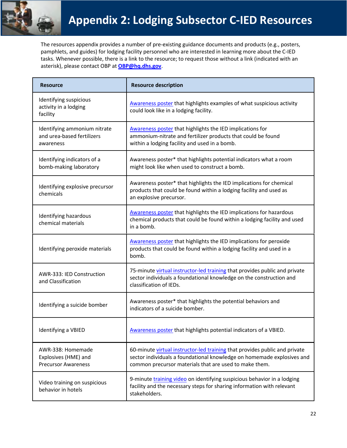

The resources appendix provides a number of pre-existing guidance documents and products (e.g., posters, pamphlets, and guides) for lodging facility personnel who are interested in learning more about the C-IED tasks. Whenever possible, there is a link to the resource; to request those without a link (indicated with an asterisk), please contact OBP at **[OBP@hq.dhs.gov](mailto:OBP@hq.dhs.gov)**.

| <b>Resource</b>                                                         | <b>Resource description</b>                                                                                                                                                                                    |
|-------------------------------------------------------------------------|----------------------------------------------------------------------------------------------------------------------------------------------------------------------------------------------------------------|
| Identifying suspicious<br>activity in a lodging<br>facility             | Awareness poster that highlights examples of what suspicious activity<br>could look like in a lodging facility.                                                                                                |
| Identifying ammonium nitrate<br>and urea-based fertilizers<br>awareness | Awareness poster that highlights the IED implications for<br>ammonium-nitrate and fertilizer products that could be found<br>within a lodging facility and used in a bomb.                                     |
| Identifying indicators of a<br>bomb-making laboratory                   | Awareness poster* that highlights potential indicators what a room<br>might look like when used to construct a bomb.                                                                                           |
| Identifying explosive precursor<br>chemicals                            | Awareness poster* that highlights the IED implications for chemical<br>products that could be found within a lodging facility and used as<br>an explosive precursor.                                           |
| Identifying hazardous<br>chemical materials                             | Awareness poster that highlights the IED implications for hazardous<br>chemical products that could be found within a lodging facility and used<br>in a bomb.                                                  |
| Identifying peroxide materials                                          | Awareness poster that highlights the IED implications for peroxide<br>products that could be found within a lodging facility and used in a<br>bomb.                                                            |
| AWR-333: IED Construction<br>and Classification                         | 75-minute virtual instructor-led training that provides public and private<br>sector individuals a foundational knowledge on the construction and<br>classification of IEDs.                                   |
| Identifying a suicide bomber                                            | Awareness poster* that highlights the potential behaviors and<br>indicators of a suicide bomber.                                                                                                               |
| Identifying a VBIED                                                     | Awareness poster that highlights potential indicators of a VBIED.                                                                                                                                              |
| AWR-338: Homemade<br>Explosives (HME) and<br><b>Precursor Awareness</b> | 60-minute virtual instructor-led training that provides public and private<br>sector individuals a foundational knowledge on homemade explosives and<br>common precursor materials that are used to make them. |
| Video training on suspicious<br>behavior in hotels                      | 9-minute training video on identifying suspicious behavior in a lodging<br>facility and the necessary steps for sharing information with relevant<br>stakeholders.                                             |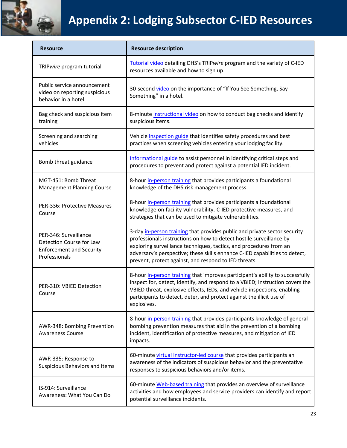

# **Appendix 2: Lodging Subsector C-IED Resources**

| <b>Resource</b>                                                                                       | <b>Resource description</b>                                                                                                                                                                                                                                                                                                                                    |
|-------------------------------------------------------------------------------------------------------|----------------------------------------------------------------------------------------------------------------------------------------------------------------------------------------------------------------------------------------------------------------------------------------------------------------------------------------------------------------|
| TRIPwire program tutorial                                                                             | Tutorial video detailing DHS's TRIPwire program and the variety of C-IED<br>resources available and how to sign up.                                                                                                                                                                                                                                            |
| Public service announcement<br>video on reporting suspicious<br>behavior in a hotel                   | 30-second video on the importance of "If You See Something, Say<br>Something" in a hotel.                                                                                                                                                                                                                                                                      |
| Bag check and suspicious item<br>training                                                             | 8-minute instructional video on how to conduct bag checks and identify<br>suspicious items.                                                                                                                                                                                                                                                                    |
| Screening and searching<br>vehicles                                                                   | Vehicle inspection guide that identifies safety procedures and best<br>practices when screening vehicles entering your lodging facility.                                                                                                                                                                                                                       |
| Bomb threat guidance                                                                                  | Informational guide to assist personnel in identifying critical steps and<br>procedures to prevent and protect against a potential IED incident.                                                                                                                                                                                                               |
| MGT-451: Bomb Threat<br><b>Management Planning Course</b>                                             | 8-hour in-person training that provides participants a foundational<br>knowledge of the DHS risk management process.                                                                                                                                                                                                                                           |
| PER-336: Protective Measures<br>Course                                                                | 8-hour in-person training that provides participants a foundational<br>knowledge on facility vulnerability, C-IED protective measures, and<br>strategies that can be used to mitigate vulnerabilities.                                                                                                                                                         |
| PER-346: Surveillance<br>Detection Course for Law<br><b>Enforcement and Security</b><br>Professionals | 3-day in-person training that provides public and private sector security<br>professionals instructions on how to detect hostile surveillance by<br>exploring surveillance techniques, tactics, and procedures from an<br>adversary's perspective; these skills enhance C-IED capabilities to detect,<br>prevent, protect against, and respond to IED threats. |
| PER-310: VBIED Detection<br>Course                                                                    | 8-hour in-person training that improves participant's ability to successfully<br>inspect for, detect, identify, and respond to a VBIED; instruction covers the<br>VBIED threat, explosive effects, IEDs, and vehicle inspections, enabling<br>participants to detect, deter, and protect against the illicit use of<br>explosives.                             |
| AWR-348: Bombing Prevention<br><b>Awareness Course</b>                                                | 8-hour in-person training that provides participants knowledge of general<br>bombing prevention measures that aid in the prevention of a bombing<br>incident, identification of protective measures, and mitigation of IED<br>impacts.                                                                                                                         |
| AWR-335: Response to<br>Suspicious Behaviors and Items                                                | 60-minute virtual instructor-led course that provides participants an<br>awareness of the indicators of suspicious behavior and the preventative<br>responses to suspicious behaviors and/or items.                                                                                                                                                            |
| IS-914: Surveillance<br>Awareness: What You Can Do                                                    | 60-minute Web-based training that provides an overview of surveillance<br>activities and how employees and service providers can identify and report<br>potential surveillance incidents.                                                                                                                                                                      |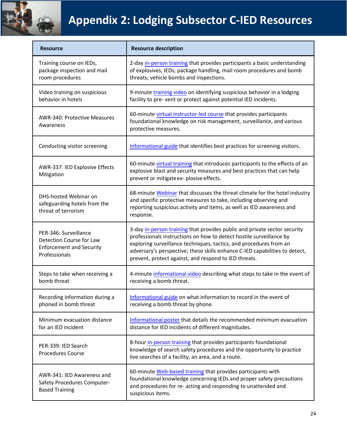

# **Appendix 2: Lodging Subsector C-IED Resources**

| <b>Resource</b>                                                                                       | <b>Resource description</b>                                                                                                                                                                                                                                                                                                                                    |
|-------------------------------------------------------------------------------------------------------|----------------------------------------------------------------------------------------------------------------------------------------------------------------------------------------------------------------------------------------------------------------------------------------------------------------------------------------------------------------|
| Training course on IEDs,<br>package inspection and mail<br>room procedures                            | 2-day in-person training that provides participants a basic understanding<br>of explosives, IEDs; package handling, mail room procedures and bomb<br>threats; vehicle bombs and inspections.                                                                                                                                                                   |
| Video training on suspicious<br>behavior in hotels                                                    | 9-minute training video on identifying suspicious behavior in a lodging<br>facility to pre- vent or protect against potential IED incidents.                                                                                                                                                                                                                   |
| AWR-340: Protective Measures<br>Awareness                                                             | 60-minute virtual instructor-led course that provides participants<br>foundational knowledge on risk management, surveillance, and various<br>protective measures.                                                                                                                                                                                             |
| Conducting visitor screening                                                                          | Informational guide that identifies best practices for screening visitors.                                                                                                                                                                                                                                                                                     |
| AWR-337: IED Explosive Effects<br>Mitigation                                                          | 60-minute virtual training that introduces participants to the effects of an<br>explosive blast and security measures and best practices that can help<br>prevent or mitigate ex- plosive effects.                                                                                                                                                             |
| DHS-hosted Webinar on<br>safeguarding hotels from the<br>threat of terrorism                          | 68-minute Webinar that discusses the threat climate for the hotel industry<br>and specific protective measures to take, including observing and<br>reporting suspicious activity and items, as well as IED awareness and<br>response.                                                                                                                          |
| PER-346: Surveillance<br>Detection Course for Law<br><b>Enforcement and Security</b><br>Professionals | 3-day in-person training that provides public and private sector security<br>professionals instructions on how to detect hostile surveillance by<br>exploring surveillance techniques, tactics, and procedures from an<br>adversary's perspective; these skills enhance C-IED capabilities to detect,<br>prevent, protect against, and respond to IED threats. |
| Steps to take when receiving a<br>bomb threat                                                         | 4-minute informational video describing what steps to take in the event of<br>receiving a bomb threat.                                                                                                                                                                                                                                                         |
| Recording information during a<br>phoned in bomb threat                                               | Informational guide on what information to record in the event of<br>receiving a bomb threat by phone.                                                                                                                                                                                                                                                         |
| Minimum evacuation distance<br>for an IED incident                                                    | Informational poster that details the recommended minimum evacuation<br>distance for IED incidents of different magnitudes.                                                                                                                                                                                                                                    |
| PER-339: IED Search<br><b>Procedures Course</b>                                                       | 8-hour in-person training that provides participants foundational<br>knowledge of search safety procedures and the opportunity to practice<br>live searches of a facility, an area, and a route.                                                                                                                                                               |
| AWR-341: IED Awareness and<br>Safety Procedures Computer-<br><b>Based Training</b>                    | 60-minute Web-based training that provides participants with<br>foundational knowledge concerning IEDs and proper safety precautions<br>and procedures for re- acting and responding to unattended and<br>suspicious items.                                                                                                                                    |